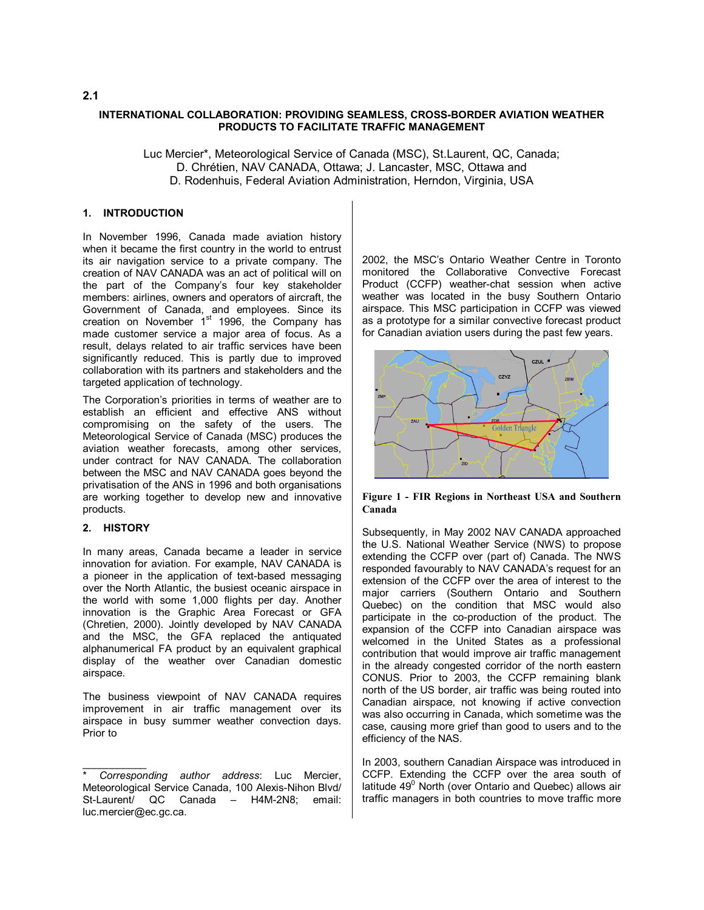## **INTERNATIONAL COLLABORATION: PROVIDING SEAMLESS, CROSS-BORDER AVIATION WEATHER PRODUCTS TO FACILITATE TRAFFIC MANAGEMENT**

Luc Mercier\*, Meteorological Service of Canada (MSC), St.Laurent, QC, Canada; D. Chrétien, NAV CANADA, Ottawa; J. Lancaster, MSC, Ottawa and D. Rodenhuis, Federal Aviation Administration, Herndon, Virginia, USA

## **1. INTRODUCTION**

In November 1996, Canada made aviation history when it became the first country in the world to entrust its air navigation service to a private company. The creation of NAV CANADA was an act of political will on the part of the Company's four key stakeholder members: airlines, owners and operators of aircraft, the Government of Canada, and employees. Since its creation on November 1<sup>st</sup> 1996, the Company has made customer service a major area of focus. As a result, delays related to air traffic services have been significantly reduced. This is partly due to improved collaboration with its partners and stakeholders and the targeted application of technology.

The Corporation's priorities in terms of weather are to establish an efficient and effective ANS without compromising on the safety of the users. The Meteorological Service of Canada (MSC) produces the aviation weather forecasts, among other services, under contract for NAV CANADA. The collaboration between the MSC and NAV CANADA goes beyond the privatisation of the ANS in 1996 and both organisations are working together to develop new and innovative products.

#### **2. HISTORY**

In many areas, Canada became a leader in service innovation for aviation. For example, NAV CANADA is a pioneer in the application of text-based messaging over the North Atlantic, the busiest oceanic airspace in the world with some 1,000 flights per day. Another innovation is the Graphic Area Forecast or GFA (Chretien, 2000). Jointly developed by NAV CANADA and the MSC, the GFA replaced the antiquated alphanumerical FA product by an equivalent graphical display of the weather over Canadian domestic airspace.

The business viewpoint of NAV CANADA requires improvement in air traffic management over its airspace in busy summer weather convection days. Prior to

2002, the MSC's Ontario Weather Centre in Toronto monitored the Collaborative Convective Forecast Product (CCFP) weather-chat session when active weather was located in the busy Southern Ontario airspace. This MSC participation in CCFP was viewed as a prototype for a similar convective forecast product for Canadian aviation users during the past few years.



**Figure 1 - FIR Regions in Northeast USA and Southern Canada**

Subsequently, in May 2002 NAV CANADA approached the U.S. National Weather Service (NWS) to propose extending the CCFP over (part of) Canada. The NWS responded favourably to NAV CANADA's request for an extension of the CCFP over the area of interest to the major carriers (Southern Ontario and Southern Quebec) on the condition that MSC would also participate in the co-production of the product. The expansion of the CCFP into Canadian airspace was welcomed in the United States as a professional contribution that would improve air traffic management in the already congested corridor of the north eastern CONUS. Prior to 2003, the CCFP remaining blank north of the US border, air traffic was being routed into Canadian airspace, not knowing if active convection was also occurring in Canada, which sometime was the case, causing more grief than good to users and to the efficiency of the NAS.

In 2003, southern Canadian Airspace was introduced in CCFP. Extending the CCFP over the area south of latitude 49<sup>0</sup> North (over Ontario and Quebec) allows air traffic managers in both countries to move traffic more

## **2.1**

 $\frac{1}{2}$ \* *Corresponding author address*: Luc Mercier, Meteorological Service Canada, 100 Alexis-Nihon Blvd/ St-Laurent/ QC Canada – H4M-2N8; email: luc.mercier@ec.gc.ca.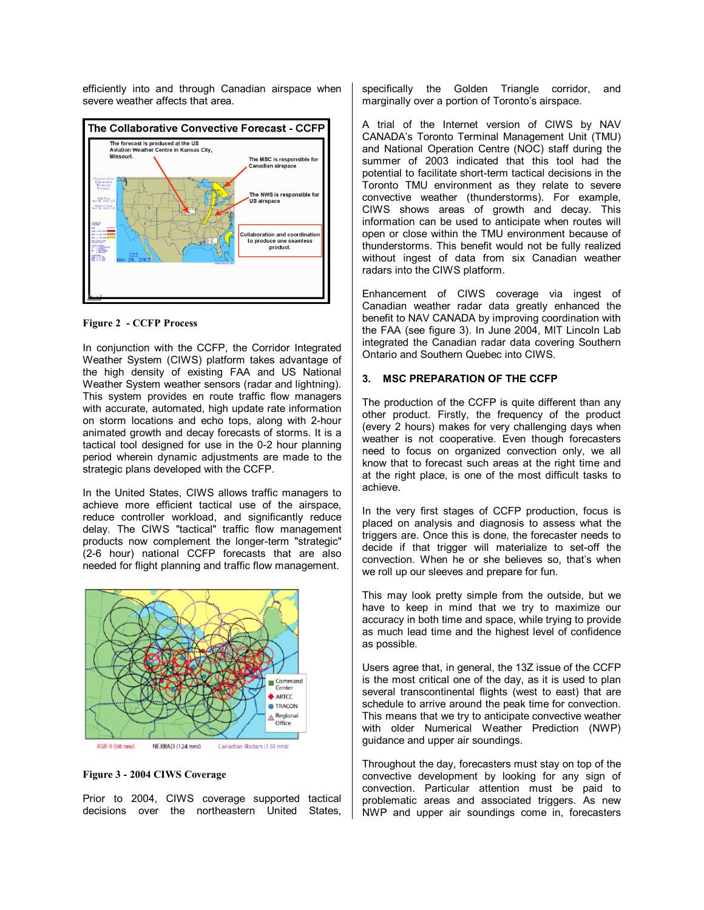efficiently into and through Canadian airspace when severe weather affects that area.



#### **Figure 2 - CCFP Process**

In conjunction with the CCFP, the Corridor Integrated Weather System (CIWS) platform takes advantage of the high density of existing FAA and US National Weather System weather sensors (radar and lightning). This system provides en route traffic flow managers with accurate, automated, high update rate information on storm locations and echo tops, along with 2-hour animated growth and decay forecasts of storms. It is a tactical tool designed for use in the 0-2 hour planning period wherein dynamic adjustments are made to the strategic plans developed with the CCFP.

In the United States, CIWS allows traffic managers to achieve more efficient tactical use of the airspace, reduce controller workload, and significantly reduce delay. The CIWS "tactical" traffic flow management products now complement the longer-term "strategic" (2-6 hour) national CCFP forecasts that are also needed for flight planning and traffic flow management.



#### **Figure 3 - 2004 CIWS Coverage**

Prior to 2004, CIWS coverage supported tactical decisions over the northeastern United States, specifically the Golden Triangle corridor, and marginally over a portion of Toronto's airspace.

A trial of the Internet version of CIWS by NAV CANADA's Toronto Terminal Management Unit (TMU) and National Operation Centre (NOC) staff during the summer of 2003 indicated that this tool had the potential to facilitate short-term tactical decisions in the Toronto TMU environment as they relate to severe convective weather (thunderstorms). For example, CIWS shows areas of growth and decay. This information can be used to anticipate when routes will open or close within the TMU environment because of thunderstorms. This benefit would not be fully realized without ingest of data from six Canadian weather radars into the CIWS platform.

Enhancement of CIWS coverage via ingest of Canadian weather radar data greatly enhanced the benefit to NAV CANADA by improving coordination with the FAA (see figure 3). In June 2004, MIT Lincoln Lab integrated the Canadian radar data covering Southern Ontario and Southern Quebec into CIWS.

#### **3. MSC PREPARATION OF THE CCFP**

The production of the CCFP is quite different than any other product. Firstly, the frequency of the product (every 2 hours) makes for very challenging days when weather is not cooperative. Even though forecasters need to focus on organized convection only, we all know that to forecast such areas at the right time and at the right place, is one of the most difficult tasks to achieve.

In the very first stages of CCFP production, focus is placed on analysis and diagnosis to assess what the triggers are. Once this is done, the forecaster needs to decide if that trigger will materialize to set-off the convection. When he or she believes so, that's when we roll up our sleeves and prepare for fun.

This may look pretty simple from the outside, but we have to keep in mind that we try to maximize our accuracy in both time and space, while trying to provide as much lead time and the highest level of confidence as possible.

Users agree that, in general, the 13Z issue of the CCFP is the most critical one of the day, as it is used to plan several transcontinental flights (west to east) that are schedule to arrive around the peak time for convection. This means that we try to anticipate convective weather with older Numerical Weather Prediction (NWP) guidance and upper air soundings.

Throughout the day, forecasters must stay on top of the convective development by looking for any sign of convection. Particular attention must be paid to problematic areas and associated triggers. As new NWP and upper air soundings come in, forecasters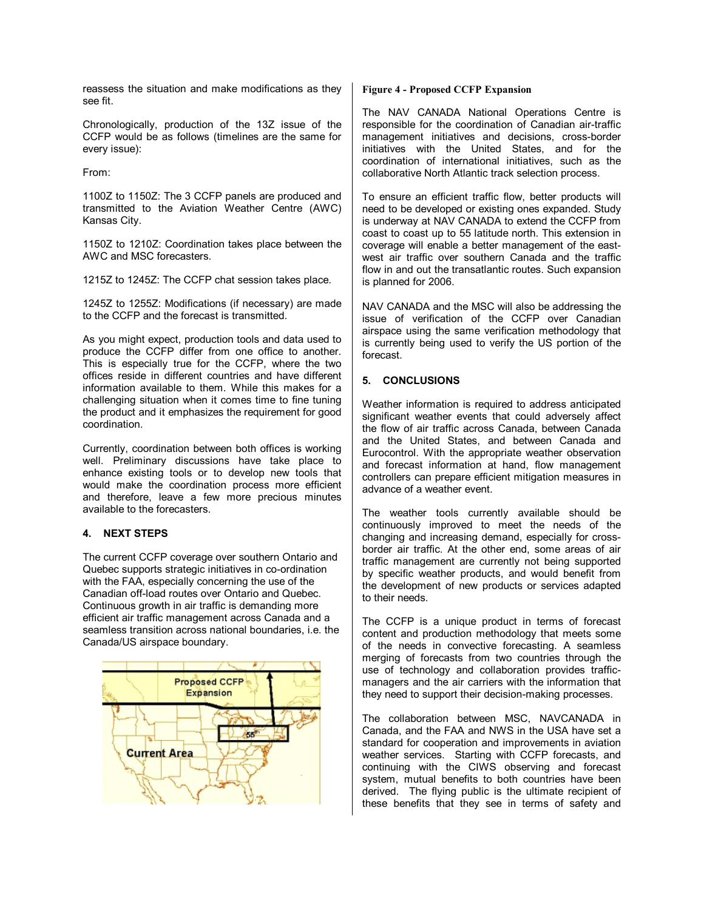reassess the situation and make modifications as they see fit.

Chronologically, production of the 13Z issue of the CCFP would be as follows (timelines are the same for every issue):

From:

1100Z to 1150Z: The 3 CCFP panels are produced and transmitted to the Aviation Weather Centre (AWC) Kansas City.

1150Z to 1210Z: Coordination takes place between the AWC and MSC forecasters.

1215Z to 1245Z: The CCFP chat session takes place.

1245Z to 1255Z: Modifications (if necessary) are made to the CCFP and the forecast is transmitted.

As you might expect, production tools and data used to produce the CCFP differ from one office to another. This is especially true for the CCFP, where the two offices reside in different countries and have different information available to them. While this makes for a challenging situation when it comes time to fine tuning the product and it emphasizes the requirement for good coordination.

Currently, coordination between both offices is working well. Preliminary discussions have take place to enhance existing tools or to develop new tools that would make the coordination process more efficient and therefore, leave a few more precious minutes available to the forecasters.

## **4. NEXT STEPS**

The current CCFP coverage over southern Ontario and Quebec supports strategic initiatives in co-ordination with the FAA, especially concerning the use of the Canadian off-load routes over Ontario and Quebec. Continuous growth in air traffic is demanding more efficient air traffic management across Canada and a seamless transition across national boundaries, i.e. the Canada/US airspace boundary.



## **Figure 4 - Proposed CCFP Expansion**

The NAV CANADA National Operations Centre is responsible for the coordination of Canadian air-traffic management initiatives and decisions, cross-border initiatives with the United States, and for the coordination of international initiatives, such as the collaborative North Atlantic track selection process.

To ensure an efficient traffic flow, better products will need to be developed or existing ones expanded. Study is underway at NAV CANADA to extend the CCFP from coast to coast up to 55 latitude north. This extension in coverage will enable a better management of the eastwest air traffic over southern Canada and the traffic flow in and out the transatlantic routes. Such expansion is planned for 2006.

NAV CANADA and the MSC will also be addressing the issue of verification of the CCFP over Canadian airspace using the same verification methodology that is currently being used to verify the US portion of the forecast.

# **5. CONCLUSIONS**

Weather information is required to address anticipated significant weather events that could adversely affect the flow of air traffic across Canada, between Canada and the United States, and between Canada and Eurocontrol. With the appropriate weather observation and forecast information at hand, flow management controllers can prepare efficient mitigation measures in advance of a weather event.

The weather tools currently available should be continuously improved to meet the needs of the changing and increasing demand, especially for crossborder air traffic. At the other end, some areas of air traffic management are currently not being supported by specific weather products, and would benefit from the development of new products or services adapted to their needs.

The CCFP is a unique product in terms of forecast content and production methodology that meets some of the needs in convective forecasting. A seamless merging of forecasts from two countries through the use of technology and collaboration provides trafficmanagers and the air carriers with the information that they need to support their decision-making processes.

The collaboration between MSC, NAVCANADA in Canada, and the FAA and NWS in the USA have set a standard for cooperation and improvements in aviation weather services. Starting with CCFP forecasts, and continuing with the CIWS observing and forecast system, mutual benefits to both countries have been derived. The flying public is the ultimate recipient of these benefits that they see in terms of safety and